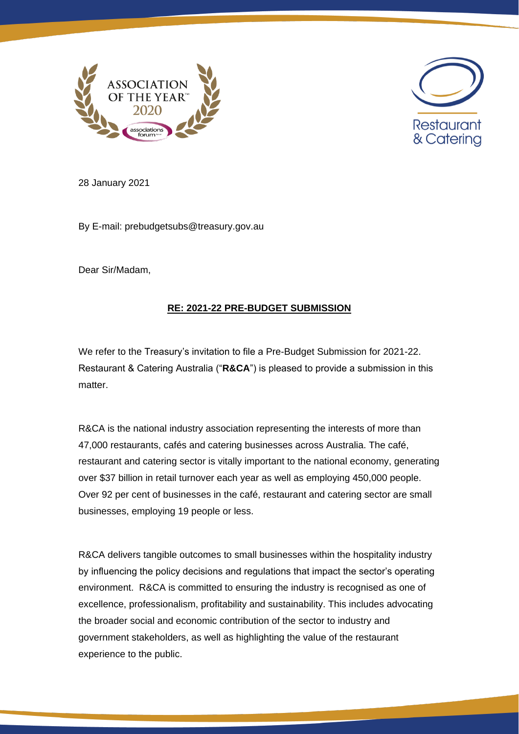



28 January 2021

By E-mail: prebudgetsubs@treasury.gov.au

Dear Sir/Madam,

# **RE: 2021-22 PRE-BUDGET SUBMISSION**

We refer to the Treasury's invitation to file a Pre-Budget Submission for 2021-22. Restaurant & Catering Australia ("**R&CA**") is pleased to provide a submission in this matter.

R&CA is the national industry association representing the interests of more than 47,000 restaurants, cafés and catering businesses across Australia. The café, restaurant and catering sector is vitally important to the national economy, generating over \$37 billion in retail turnover each year as well as employing 450,000 people. Over 92 per cent of businesses in the café, restaurant and catering sector are small businesses, employing 19 people or less.

R&CA delivers tangible outcomes to small businesses within the hospitality industry by influencing the policy decisions and regulations that impact the sector's operating environment. R&CA is committed to ensuring the industry is recognised as one of excellence, professionalism, profitability and sustainability. This includes advocating the broader social and economic contribution of the sector to industry and government stakeholders, as well as highlighting the value of the restaurant experience to the public.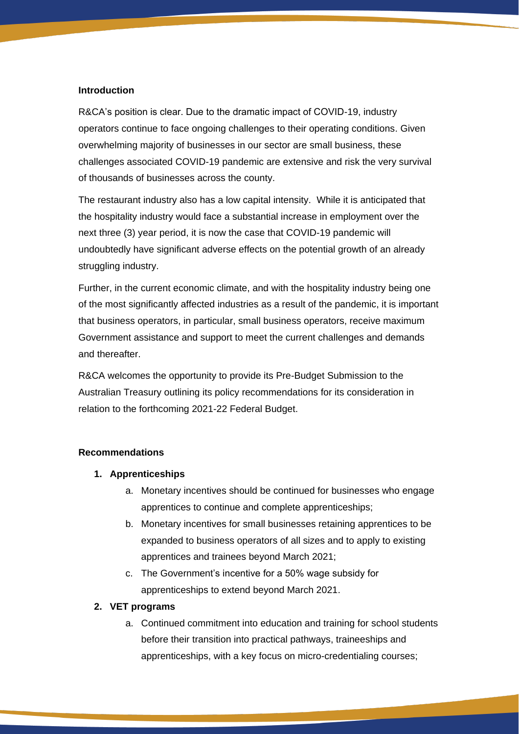#### **Introduction**

R&CA's position is clear. Due to the dramatic impact of COVID-19, industry operators continue to face ongoing challenges to their operating conditions. Given overwhelming majority of businesses in our sector are small business, these challenges associated COVID-19 pandemic are extensive and risk the very survival of thousands of businesses across the county.

The restaurant industry also has a low capital intensity. While it is anticipated that the hospitality industry would face a substantial increase in employment over the next three (3) year period, it is now the case that COVID-19 pandemic will undoubtedly have significant adverse effects on the potential growth of an already struggling industry.

Further, in the current economic climate, and with the hospitality industry being one of the most significantly affected industries as a result of the pandemic, it is important that business operators, in particular, small business operators, receive maximum Government assistance and support to meet the current challenges and demands and thereafter.

R&CA welcomes the opportunity to provide its Pre-Budget Submission to the Australian Treasury outlining its policy recommendations for its consideration in relation to the forthcoming 2021-22 Federal Budget.

#### **Recommendations**

### **1. Apprenticeships**

- a. Monetary incentives should be continued for businesses who engage apprentices to continue and complete apprenticeships;
- b. Monetary incentives for small businesses retaining apprentices to be expanded to business operators of all sizes and to apply to existing apprentices and trainees beyond March 2021;
- c. The Government's incentive for a 50% wage subsidy for apprenticeships to extend beyond March 2021.

### **2. VET programs**

a. Continued commitment into education and training for school students before their transition into practical pathways, traineeships and apprenticeships, with a key focus on micro-credentialing courses;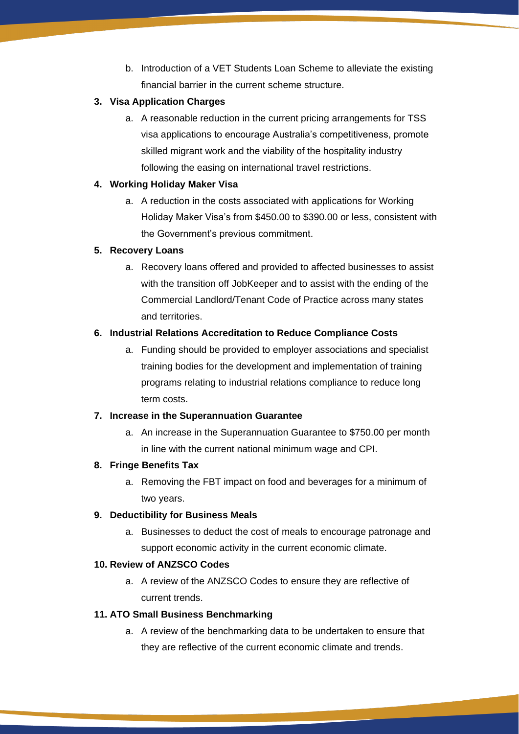b. Introduction of a VET Students Loan Scheme to alleviate the existing financial barrier in the current scheme structure.

# **3. Visa Application Charges**

a. A reasonable reduction in the current pricing arrangements for TSS visa applications to encourage Australia's competitiveness, promote skilled migrant work and the viability of the hospitality industry following the easing on international travel restrictions.

## **4. Working Holiday Maker Visa**

a. A reduction in the costs associated with applications for Working Holiday Maker Visa's from \$450.00 to \$390.00 or less, consistent with the Government's previous commitment.

# **5. Recovery Loans**

a. Recovery loans offered and provided to affected businesses to assist with the transition off JobKeeper and to assist with the ending of the Commercial Landlord/Tenant Code of Practice across many states and territories.

# **6. Industrial Relations Accreditation to Reduce Compliance Costs**

a. Funding should be provided to employer associations and specialist training bodies for the development and implementation of training programs relating to industrial relations compliance to reduce long term costs.

### **7. Increase in the Superannuation Guarantee**

a. An increase in the Superannuation Guarantee to \$750.00 per month in line with the current national minimum wage and CPI.

### **8. Fringe Benefits Tax**

a. Removing the FBT impact on food and beverages for a minimum of two years.

### **9. Deductibility for Business Meals**

a. Businesses to deduct the cost of meals to encourage patronage and support economic activity in the current economic climate.

### **10. Review of ANZSCO Codes**

a. A review of the ANZSCO Codes to ensure they are reflective of current trends.

### **11. ATO Small Business Benchmarking**

a. A review of the benchmarking data to be undertaken to ensure that they are reflective of the current economic climate and trends.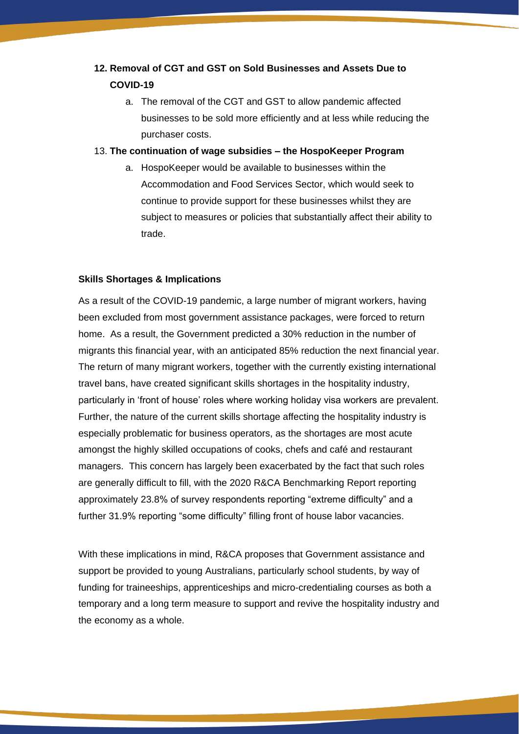# **12. Removal of CGT and GST on Sold Businesses and Assets Due to COVID-19**

- a. The removal of the CGT and GST to allow pandemic affected businesses to be sold more efficiently and at less while reducing the purchaser costs.
- 13. **The continuation of wage subsidies – the HospoKeeper Program**
	- a. HospoKeeper would be available to businesses within the Accommodation and Food Services Sector, which would seek to continue to provide support for these businesses whilst they are subject to measures or policies that substantially affect their ability to trade.

### **Skills Shortages & Implications**

As a result of the COVID-19 pandemic, a large number of migrant workers, having been excluded from most government assistance packages, were forced to return home. As a result, the Government predicted a 30% reduction in the number of migrants this financial year, with an anticipated 85% reduction the next financial year. The return of many migrant workers, together with the currently existing international travel bans, have created significant skills shortages in the hospitality industry, particularly in 'front of house' roles where working holiday visa workers are prevalent. Further, the nature of the current skills shortage affecting the hospitality industry is especially problematic for business operators, as the shortages are most acute amongst the highly skilled occupations of cooks, chefs and café and restaurant managers. This concern has largely been exacerbated by the fact that such roles are generally difficult to fill, with the 2020 R&CA Benchmarking Report reporting approximately 23.8% of survey respondents reporting "extreme difficulty" and a further 31.9% reporting "some difficulty" filling front of house labor vacancies.

With these implications in mind, R&CA proposes that Government assistance and support be provided to young Australians, particularly school students, by way of funding for traineeships, apprenticeships and micro-credentialing courses as both a temporary and a long term measure to support and revive the hospitality industry and the economy as a whole.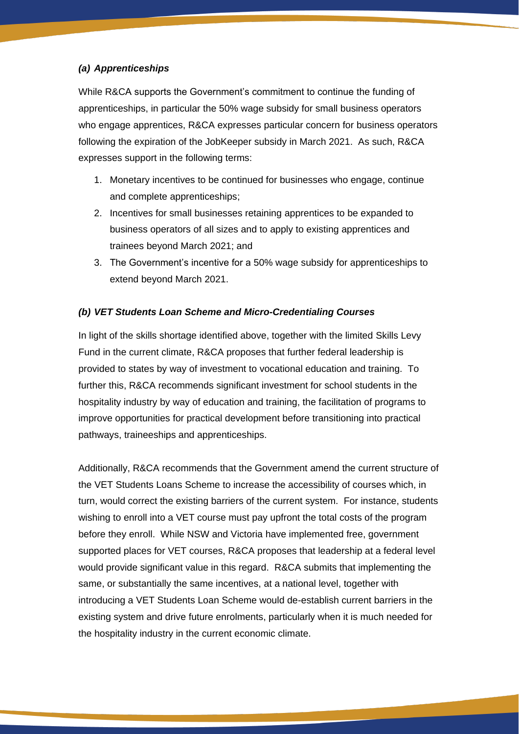## *(a) Apprenticeships*

While R&CA supports the Government's commitment to continue the funding of apprenticeships, in particular the 50% wage subsidy for small business operators who engage apprentices, R&CA expresses particular concern for business operators following the expiration of the JobKeeper subsidy in March 2021. As such, R&CA expresses support in the following terms:

- 1. Monetary incentives to be continued for businesses who engage, continue and complete apprenticeships;
- 2. Incentives for small businesses retaining apprentices to be expanded to business operators of all sizes and to apply to existing apprentices and trainees beyond March 2021; and
- 3. The Government's incentive for a 50% wage subsidy for apprenticeships to extend beyond March 2021.

# *(b) VET Students Loan Scheme and Micro-Credentialing Courses*

In light of the skills shortage identified above, together with the limited Skills Levy Fund in the current climate, R&CA proposes that further federal leadership is provided to states by way of investment to vocational education and training. To further this, R&CA recommends significant investment for school students in the hospitality industry by way of education and training, the facilitation of programs to improve opportunities for practical development before transitioning into practical pathways, traineeships and apprenticeships.

Additionally, R&CA recommends that the Government amend the current structure of the VET Students Loans Scheme to increase the accessibility of courses which, in turn, would correct the existing barriers of the current system. For instance, students wishing to enroll into a VET course must pay upfront the total costs of the program before they enroll. While NSW and Victoria have implemented free, government supported places for VET courses, R&CA proposes that leadership at a federal level would provide significant value in this regard. R&CA submits that implementing the same, or substantially the same incentives, at a national level, together with introducing a VET Students Loan Scheme would de-establish current barriers in the existing system and drive future enrolments, particularly when it is much needed for the hospitality industry in the current economic climate.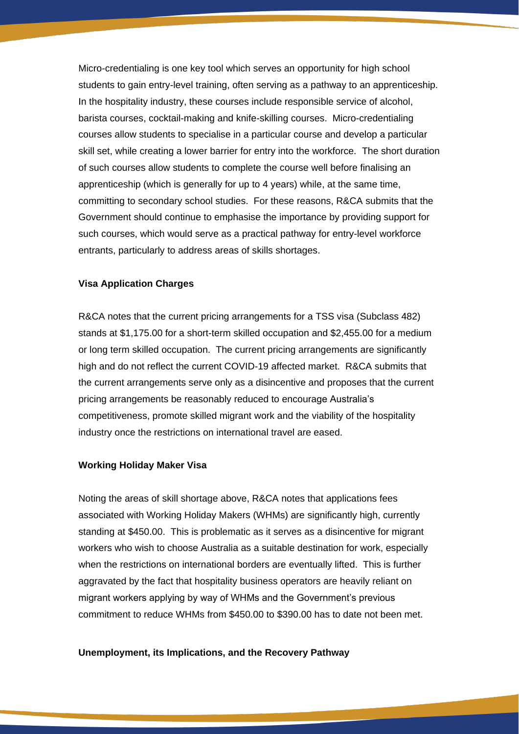Micro-credentialing is one key tool which serves an opportunity for high school students to gain entry-level training, often serving as a pathway to an apprenticeship. In the hospitality industry, these courses include responsible service of alcohol, barista courses, cocktail-making and knife-skilling courses. Micro-credentialing courses allow students to specialise in a particular course and develop a particular skill set, while creating a lower barrier for entry into the workforce. The short duration of such courses allow students to complete the course well before finalising an apprenticeship (which is generally for up to 4 years) while, at the same time, committing to secondary school studies. For these reasons, R&CA submits that the Government should continue to emphasise the importance by providing support for such courses, which would serve as a practical pathway for entry-level workforce entrants, particularly to address areas of skills shortages.

### **Visa Application Charges**

R&CA notes that the current pricing arrangements for a TSS visa (Subclass 482) stands at \$1,175.00 for a short-term skilled occupation and \$2,455.00 for a medium or long term skilled occupation. The current pricing arrangements are significantly high and do not reflect the current COVID-19 affected market. R&CA submits that the current arrangements serve only as a disincentive and proposes that the current pricing arrangements be reasonably reduced to encourage Australia's competitiveness, promote skilled migrant work and the viability of the hospitality industry once the restrictions on international travel are eased.

### **Working Holiday Maker Visa**

Noting the areas of skill shortage above, R&CA notes that applications fees associated with Working Holiday Makers (WHMs) are significantly high, currently standing at \$450.00. This is problematic as it serves as a disincentive for migrant workers who wish to choose Australia as a suitable destination for work, especially when the restrictions on international borders are eventually lifted. This is further aggravated by the fact that hospitality business operators are heavily reliant on migrant workers applying by way of WHMs and the Government's previous commitment to reduce WHMs from \$450.00 to \$390.00 has to date not been met.

#### **Unemployment, its Implications, and the Recovery Pathway**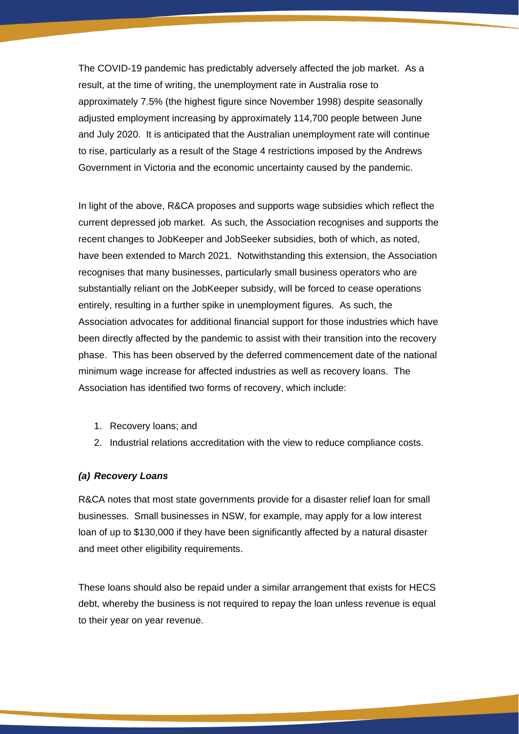The COVID-19 pandemic has predictably adversely affected the job market. As a result, at the time of writing, the unemployment rate in Australia rose to approximately 7.5% (the highest figure since November 1998) despite seasonally adjusted employment increasing by approximately 114,700 people between June and July 2020. It is anticipated that the Australian unemployment rate will continue to rise, particularly as a result of the Stage 4 restrictions imposed by the Andrews Government in Victoria and the economic uncertainty caused by the pandemic.

In light of the above, R&CA proposes and supports wage subsidies which reflect the current depressed job market. As such, the Association recognises and supports the recent changes to JobKeeper and JobSeeker subsidies, both of which, as noted, have been extended to March 2021. Notwithstanding this extension, the Association recognises that many businesses, particularly small business operators who are substantially reliant on the JobKeeper subsidy, will be forced to cease operations entirely, resulting in a further spike in unemployment figures. As such, the Association advocates for additional financial support for those industries which have been directly affected by the pandemic to assist with their transition into the recovery phase. This has been observed by the deferred commencement date of the national minimum wage increase for affected industries as well as recovery loans. The Association has identified two forms of recovery, which include:

- 1. Recovery loans; and
- 2. Industrial relations accreditation with the view to reduce compliance costs.

### *(a) Recovery Loans*

R&CA notes that most state governments provide for a disaster relief loan for small businesses. Small businesses in NSW, for example, may apply for a low interest loan of up to \$130,000 if they have been significantly affected by a natural disaster and meet other eligibility requirements.

These loans should also be repaid under a similar arrangement that exists for HECS debt, whereby the business is not required to repay the loan unless revenue is equal to their year on year revenue.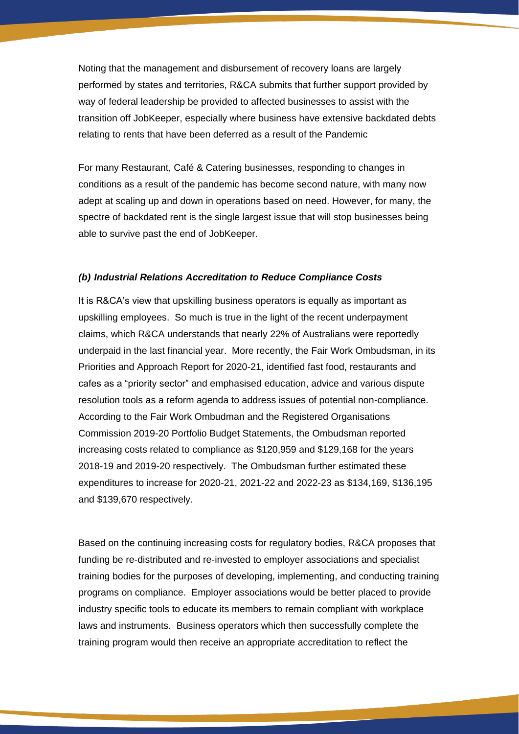Noting that the management and disbursement of recovery loans are largely performed by states and territories, R&CA submits that further support provided by way of federal leadership be provided to affected businesses to assist with the transition off JobKeeper, especially where business have extensive backdated debts relating to rents that have been deferred as a result of the Pandemic

For many Restaurant, Café & Catering businesses, responding to changes in conditions as a result of the pandemic has become second nature, with many now adept at scaling up and down in operations based on need. However, for many, the spectre of backdated rent is the single largest issue that will stop businesses being able to survive past the end of JobKeeper.

#### *(b) Industrial Relations Accreditation to Reduce Compliance Costs*

It is R&CA's view that upskilling business operators is equally as important as upskilling employees. So much is true in the light of the recent underpayment claims, which R&CA understands that nearly 22% of Australians were reportedly underpaid in the last financial year. More recently, the Fair Work Ombudsman, in its Priorities and Approach Report for 2020-21, identified fast food, restaurants and cafes as a "priority sector" and emphasised education, advice and various dispute resolution tools as a reform agenda to address issues of potential non-compliance. According to the Fair Work Ombudman and the Registered Organisations Commission 2019-20 Portfolio Budget Statements, the Ombudsman reported increasing costs related to compliance as \$120,959 and \$129,168 for the years 2018-19 and 2019-20 respectively. The Ombudsman further estimated these expenditures to increase for 2020-21, 2021-22 and 2022-23 as \$134,169, \$136,195 and \$139,670 respectively.

Based on the continuing increasing costs for regulatory bodies, R&CA proposes that funding be re-distributed and re-invested to employer associations and specialist training bodies for the purposes of developing, implementing, and conducting training programs on compliance. Employer associations would be better placed to provide industry specific tools to educate its members to remain compliant with workplace laws and instruments. Business operators which then successfully complete the training program would then receive an appropriate accreditation to reflect the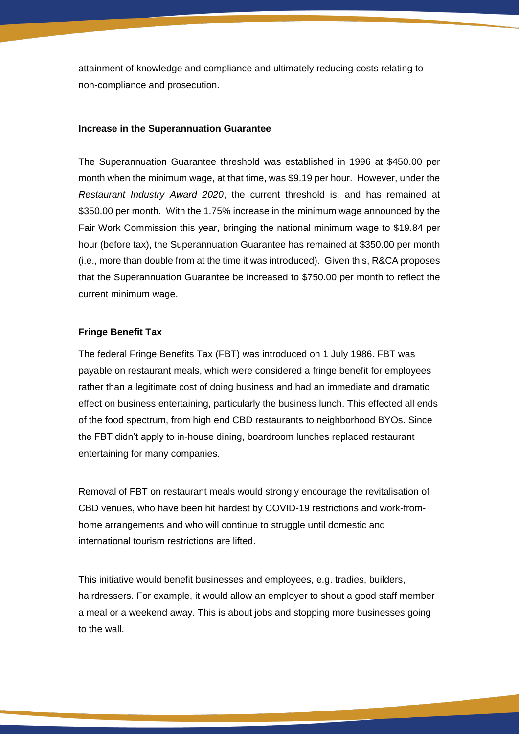attainment of knowledge and compliance and ultimately reducing costs relating to non-compliance and prosecution.

#### **Increase in the Superannuation Guarantee**

The Superannuation Guarantee threshold was established in 1996 at \$450.00 per month when the minimum wage, at that time, was \$9.19 per hour. However, under the *Restaurant Industry Award 2020*, the current threshold is, and has remained at \$350.00 per month. With the 1.75% increase in the minimum wage announced by the Fair Work Commission this year, bringing the national minimum wage to \$19.84 per hour (before tax), the Superannuation Guarantee has remained at \$350.00 per month (i.e., more than double from at the time it was introduced). Given this, R&CA proposes that the Superannuation Guarantee be increased to \$750.00 per month to reflect the current minimum wage.

#### **Fringe Benefit Tax**

The federal Fringe Benefits Tax (FBT) was introduced on 1 July 1986. FBT was payable on restaurant meals, which were considered a fringe benefit for employees rather than a legitimate cost of doing business and had an immediate and dramatic effect on business entertaining, particularly the business lunch. This effected all ends of the food spectrum, from high end CBD restaurants to neighborhood BYOs. Since the FBT didn't apply to in-house dining, boardroom lunches replaced restaurant entertaining for many companies.

Removal of FBT on restaurant meals would strongly encourage the revitalisation of CBD venues, who have been hit hardest by COVID-19 restrictions and work-fromhome arrangements and who will continue to struggle until domestic and international tourism restrictions are lifted.

This initiative would benefit businesses and employees, e.g. tradies, builders, hairdressers. For example, it would allow an employer to shout a good staff member a meal or a weekend away. This is about jobs and stopping more businesses going to the wall.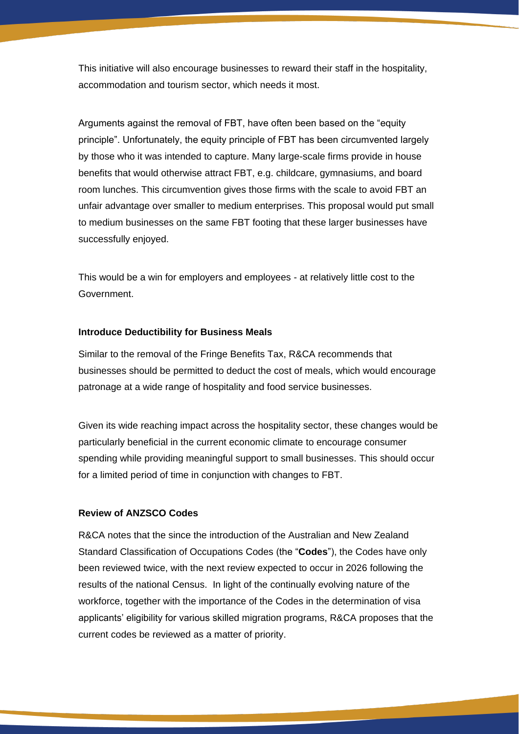This initiative will also encourage businesses to reward their staff in the hospitality, accommodation and tourism sector, which needs it most.

Arguments against the removal of FBT, have often been based on the "equity principle". Unfortunately, the equity principle of FBT has been circumvented largely by those who it was intended to capture. Many large-scale firms provide in house benefits that would otherwise attract FBT, e.g. childcare, gymnasiums, and board room lunches. This circumvention gives those firms with the scale to avoid FBT an unfair advantage over smaller to medium enterprises. This proposal would put small to medium businesses on the same FBT footing that these larger businesses have successfully enjoyed.

This would be a win for employers and employees - at relatively little cost to the Government.

### **Introduce Deductibility for Business Meals**

Similar to the removal of the Fringe Benefits Tax, R&CA recommends that businesses should be permitted to deduct the cost of meals, which would encourage patronage at a wide range of hospitality and food service businesses.

Given its wide reaching impact across the hospitality sector, these changes would be particularly beneficial in the current economic climate to encourage consumer spending while providing meaningful support to small businesses. This should occur for a limited period of time in conjunction with changes to FBT.

### **Review of ANZSCO Codes**

R&CA notes that the since the introduction of the Australian and New Zealand Standard Classification of Occupations Codes (the "**Codes**"), the Codes have only been reviewed twice, with the next review expected to occur in 2026 following the results of the national Census. In light of the continually evolving nature of the workforce, together with the importance of the Codes in the determination of visa applicants' eligibility for various skilled migration programs, R&CA proposes that the current codes be reviewed as a matter of priority.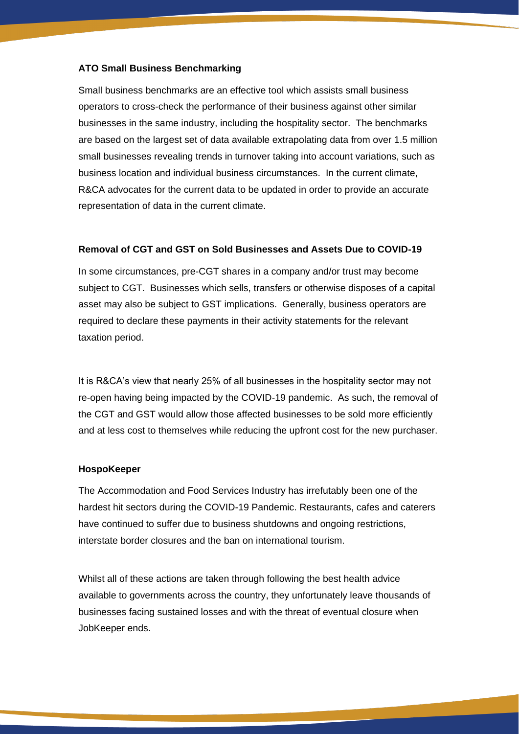#### **ATO Small Business Benchmarking**

Small business benchmarks are an effective tool which assists small business operators to cross-check the performance of their business against other similar businesses in the same industry, including the hospitality sector. The benchmarks are based on the largest set of data available extrapolating data from over 1.5 million small businesses revealing trends in turnover taking into account variations, such as business location and individual business circumstances. In the current climate, R&CA advocates for the current data to be updated in order to provide an accurate representation of data in the current climate.

#### **Removal of CGT and GST on Sold Businesses and Assets Due to COVID-19**

In some circumstances, pre-CGT shares in a company and/or trust may become subject to CGT. Businesses which sells, transfers or otherwise disposes of a capital asset may also be subject to GST implications. Generally, business operators are required to declare these payments in their activity statements for the relevant taxation period.

It is R&CA's view that nearly 25% of all businesses in the hospitality sector may not re-open having being impacted by the COVID-19 pandemic. As such, the removal of the CGT and GST would allow those affected businesses to be sold more efficiently and at less cost to themselves while reducing the upfront cost for the new purchaser.

#### **HospoKeeper**

The Accommodation and Food Services Industry has irrefutably been one of the hardest hit sectors during the COVID-19 Pandemic. Restaurants, cafes and caterers have continued to suffer due to business shutdowns and ongoing restrictions, interstate border closures and the ban on international tourism.

Whilst all of these actions are taken through following the best health advice available to governments across the country, they unfortunately leave thousands of businesses facing sustained losses and with the threat of eventual closure when JobKeeper ends.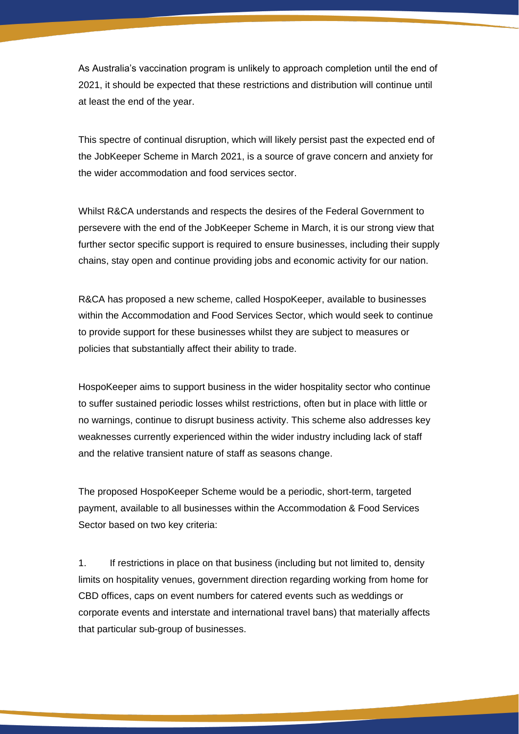As Australia's vaccination program is unlikely to approach completion until the end of 2021, it should be expected that these restrictions and distribution will continue until at least the end of the year.

This spectre of continual disruption, which will likely persist past the expected end of the JobKeeper Scheme in March 2021, is a source of grave concern and anxiety for the wider accommodation and food services sector.

Whilst R&CA understands and respects the desires of the Federal Government to persevere with the end of the JobKeeper Scheme in March, it is our strong view that further sector specific support is required to ensure businesses, including their supply chains, stay open and continue providing jobs and economic activity for our nation.

R&CA has proposed a new scheme, called HospoKeeper, available to businesses within the Accommodation and Food Services Sector, which would seek to continue to provide support for these businesses whilst they are subject to measures or policies that substantially affect their ability to trade.

HospoKeeper aims to support business in the wider hospitality sector who continue to suffer sustained periodic losses whilst restrictions, often but in place with little or no warnings, continue to disrupt business activity. This scheme also addresses key weaknesses currently experienced within the wider industry including lack of staff and the relative transient nature of staff as seasons change.

The proposed HospoKeeper Scheme would be a periodic, short-term, targeted payment, available to all businesses within the Accommodation & Food Services Sector based on two key criteria:

1. If restrictions in place on that business (including but not limited to, density limits on hospitality venues, government direction regarding working from home for CBD offices, caps on event numbers for catered events such as weddings or corporate events and interstate and international travel bans) that materially affects that particular sub-group of businesses.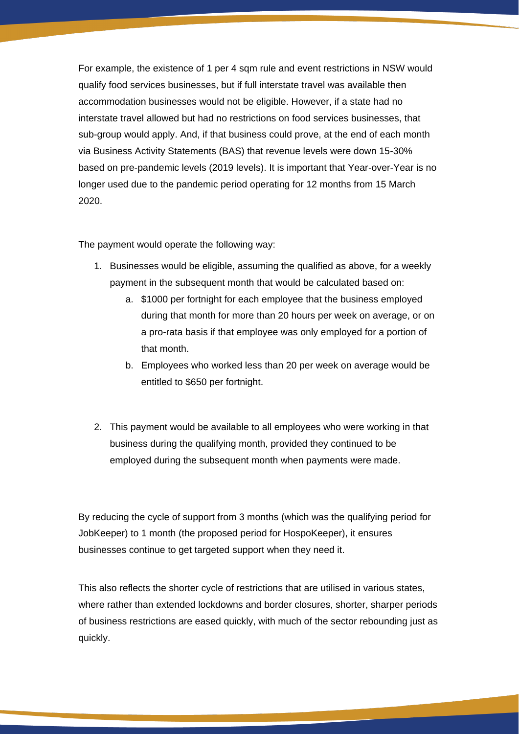For example, the existence of 1 per 4 sqm rule and event restrictions in NSW would qualify food services businesses, but if full interstate travel was available then accommodation businesses would not be eligible. However, if a state had no interstate travel allowed but had no restrictions on food services businesses, that sub-group would apply. And, if that business could prove, at the end of each month via Business Activity Statements (BAS) that revenue levels were down 15-30% based on pre-pandemic levels (2019 levels). It is important that Year-over-Year is no longer used due to the pandemic period operating for 12 months from 15 March 2020.

The payment would operate the following way:

- 1. Businesses would be eligible, assuming the qualified as above, for a weekly payment in the subsequent month that would be calculated based on:
	- a. \$1000 per fortnight for each employee that the business employed during that month for more than 20 hours per week on average, or on a pro-rata basis if that employee was only employed for a portion of that month.
	- b. Employees who worked less than 20 per week on average would be entitled to \$650 per fortnight.
- 2. This payment would be available to all employees who were working in that business during the qualifying month, provided they continued to be employed during the subsequent month when payments were made.

By reducing the cycle of support from 3 months (which was the qualifying period for JobKeeper) to 1 month (the proposed period for HospoKeeper), it ensures businesses continue to get targeted support when they need it.

This also reflects the shorter cycle of restrictions that are utilised in various states, where rather than extended lockdowns and border closures, shorter, sharper periods of business restrictions are eased quickly, with much of the sector rebounding just as quickly.